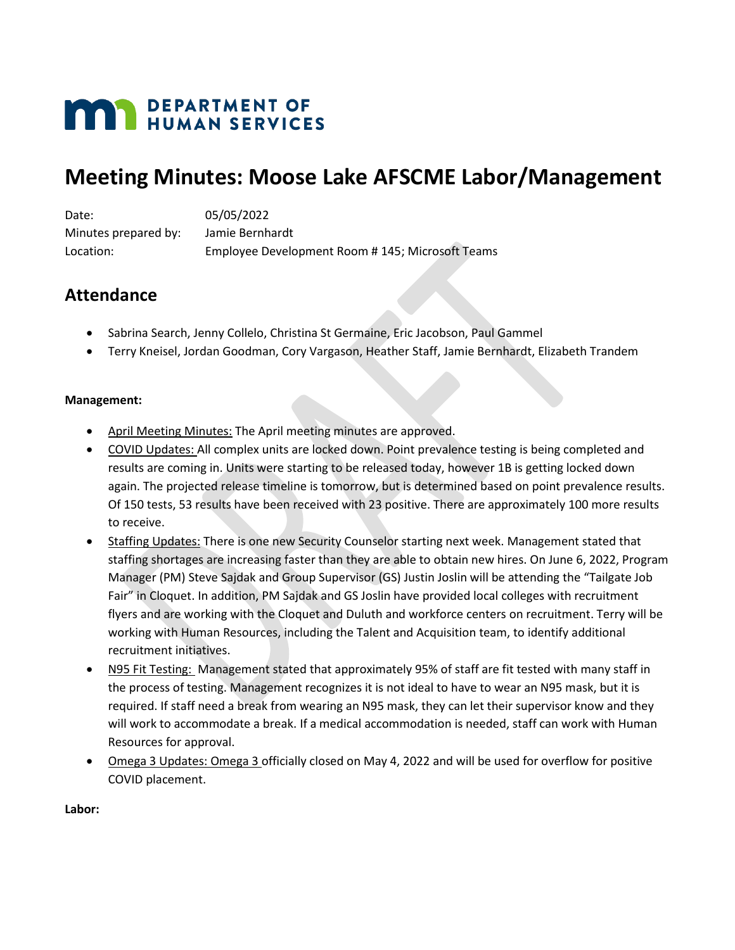# **MAY DEPARTMENT OF HUMAN SERVICES**

## **Meeting Minutes: Moose Lake AFSCME Labor/Management**

Date: 05/05/2022 Minutes prepared by: Jamie Bernhardt Location: Employee Development Room # 145; Microsoft Teams

## **Attendance**

- Sabrina Search, Jenny Collelo, Christina St Germaine, Eric Jacobson, Paul Gammel
- Terry Kneisel, Jordan Goodman, Cory Vargason, Heather Staff, Jamie Bernhardt, Elizabeth Trandem

### **Management:**

- April Meeting Minutes: The April meeting minutes are approved.
- COVID Updates: All complex units are locked down. Point prevalence testing is being completed and results are coming in. Units were starting to be released today, however 1B is getting locked down again. The projected release timeline is tomorrow, but is determined based on point prevalence results. Of 150 tests, 53 results have been received with 23 positive. There are approximately 100 more results to receive.
- Staffing Updates: There is one new Security Counselor starting next week. Management stated that staffing shortages are increasing faster than they are able to obtain new hires. On June 6, 2022, Program Manager (PM) Steve Sajdak and Group Supervisor (GS) Justin Joslin will be attending the "Tailgate Job Fair" in Cloquet. In addition, PM Sajdak and GS Joslin have provided local colleges with recruitment flyers and are working with the Cloquet and Duluth and workforce centers on recruitment. Terry will be working with Human Resources, including the Talent and Acquisition team, to identify additional recruitment initiatives.
- N95 Fit Testing: Management stated that approximately 95% of staff are fit tested with many staff in the process of testing. Management recognizes it is not ideal to have to wear an N95 mask, but it is required. If staff need a break from wearing an N95 mask, they can let their supervisor know and they will work to accommodate a break. If a medical accommodation is needed, staff can work with Human Resources for approval.
- Omega 3 Updates: Omega 3 officially closed on May 4, 2022 and will be used for overflow for positive COVID placement.

#### **Labor:**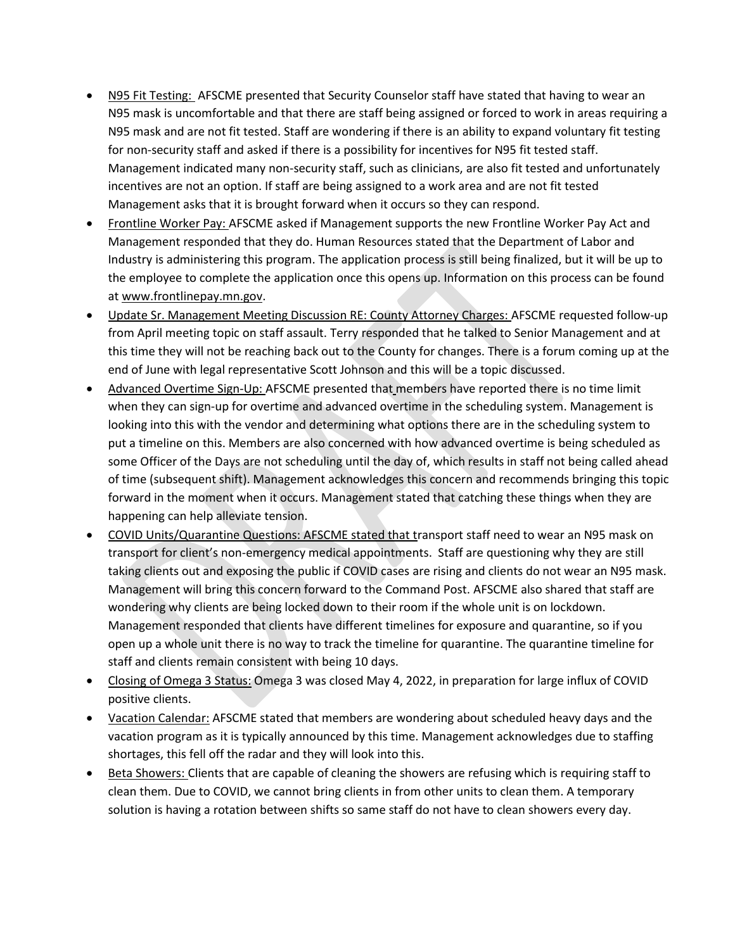- N95 Fit Testing: AFSCME presented that Security Counselor staff have stated that having to wear an N95 mask is uncomfortable and that there are staff being assigned or forced to work in areas requiring a N95 mask and are not fit tested. Staff are wondering if there is an ability to expand voluntary fit testing for non-security staff and asked if there is a possibility for incentives for N95 fit tested staff. Management indicated many non-security staff, such as clinicians, are also fit tested and unfortunately incentives are not an option. If staff are being assigned to a work area and are not fit tested Management asks that it is brought forward when it occurs so they can respond.
- Frontline Worker Pay: AFSCME asked if Management supports the new Frontline Worker Pay Act and Management responded that they do. Human Resources stated that the Department of Labor and Industry is administering this program. The application process is still being finalized, but it will be up to the employee to complete the application once this opens up. Information on this process can be found at [www.frontlinepay.mn.gov.](http://www.frontlinepay.mn.gov/)
- Update Sr. Management Meeting Discussion RE: County Attorney Charges: AFSCME requested follow-up from April meeting topic on staff assault. Terry responded that he talked to Senior Management and at this time they will not be reaching back out to the County for changes. There is a forum coming up at the end of June with legal representative Scott Johnson and this will be a topic discussed.
- Advanced Overtime Sign-Up: AFSCME presented that members have reported there is no time limit when they can sign-up for overtime and advanced overtime in the scheduling system. Management is looking into this with the vendor and determining what options there are in the scheduling system to put a timeline on this. Members are also concerned with how advanced overtime is being scheduled as some Officer of the Days are not scheduling until the day of, which results in staff not being called ahead of time (subsequent shift). Management acknowledges this concern and recommends bringing this topic forward in the moment when it occurs. Management stated that catching these things when they are happening can help alleviate tension.
- COVID Units/Quarantine Questions: AFSCME stated that transport staff need to wear an N95 mask on transport for client's non-emergency medical appointments. Staff are questioning why they are still taking clients out and exposing the public if COVID cases are rising and clients do not wear an N95 mask. Management will bring this concern forward to the Command Post. AFSCME also shared that staff are wondering why clients are being locked down to their room if the whole unit is on lockdown. Management responded that clients have different timelines for exposure and quarantine, so if you open up a whole unit there is no way to track the timeline for quarantine. The quarantine timeline for staff and clients remain consistent with being 10 days.
- Closing of Omega 3 Status: Omega 3 was closed May 4, 2022, in preparation for large influx of COVID positive clients.
- Vacation Calendar: AFSCME stated that members are wondering about scheduled heavy days and the vacation program as it is typically announced by this time. Management acknowledges due to staffing shortages, this fell off the radar and they will look into this.
- Beta Showers: Clients that are capable of cleaning the showers are refusing which is requiring staff to clean them. Due to COVID, we cannot bring clients in from other units to clean them. A temporary solution is having a rotation between shifts so same staff do not have to clean showers every day.